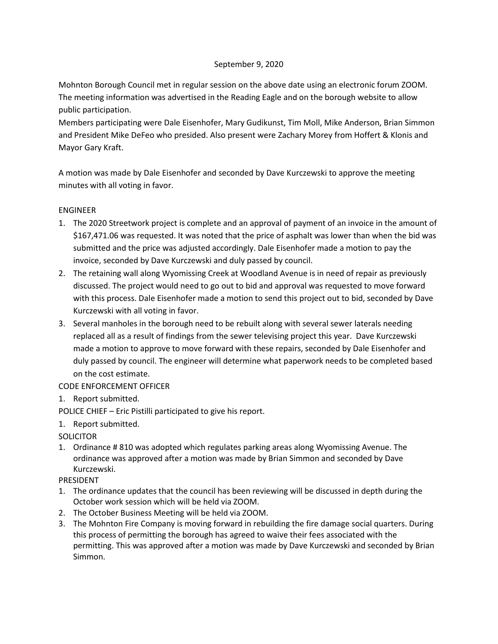## September 9, 2020

Mohnton Borough Council met in regular session on the above date using an electronic forum ZOOM. The meeting information was advertised in the Reading Eagle and on the borough website to allow public participation.

Members participating were Dale Eisenhofer, Mary Gudikunst, Tim Moll, Mike Anderson, Brian Simmon and President Mike DeFeo who presided. Also present were Zachary Morey from Hoffert & Klonis and Mayor Gary Kraft.

A motion was made by Dale Eisenhofer and seconded by Dave Kurczewski to approve the meeting minutes with all voting in favor.

## ENGINEER

- 1. The 2020 Streetwork project is complete and an approval of payment of an invoice in the amount of \$167,471.06 was requested. It was noted that the price of asphalt was lower than when the bid was submitted and the price was adjusted accordingly. Dale Eisenhofer made a motion to pay the invoice, seconded by Dave Kurczewski and duly passed by council.
- 2. The retaining wall along Wyomissing Creek at Woodland Avenue is in need of repair as previously discussed. The project would need to go out to bid and approval was requested to move forward with this process. Dale Eisenhofer made a motion to send this project out to bid, seconded by Dave Kurczewski with all voting in favor.
- 3. Several manholes in the borough need to be rebuilt along with several sewer laterals needing replaced all as a result of findings from the sewer televising project this year. Dave Kurczewski made a motion to approve to move forward with these repairs, seconded by Dale Eisenhofer and duly passed by council. The engineer will determine what paperwork needs to be completed based on the cost estimate.

# CODE ENFORCEMENT OFFICER

1. Report submitted.

POLICE CHIEF – Eric Pistilli participated to give his report.

1. Report submitted.

# SOLICITOR

1. Ordinance # 810 was adopted which regulates parking areas along Wyomissing Avenue. The ordinance was approved after a motion was made by Brian Simmon and seconded by Dave Kurczewski.

#### PRESIDENT

- 1. The ordinance updates that the council has been reviewing will be discussed in depth during the October work session which will be held via ZOOM.
- 2. The October Business Meeting will be held via ZOOM.
- 3. The Mohnton Fire Company is moving forward in rebuilding the fire damage social quarters. During this process of permitting the borough has agreed to waive their fees associated with the permitting. This was approved after a motion was made by Dave Kurczewski and seconded by Brian Simmon.